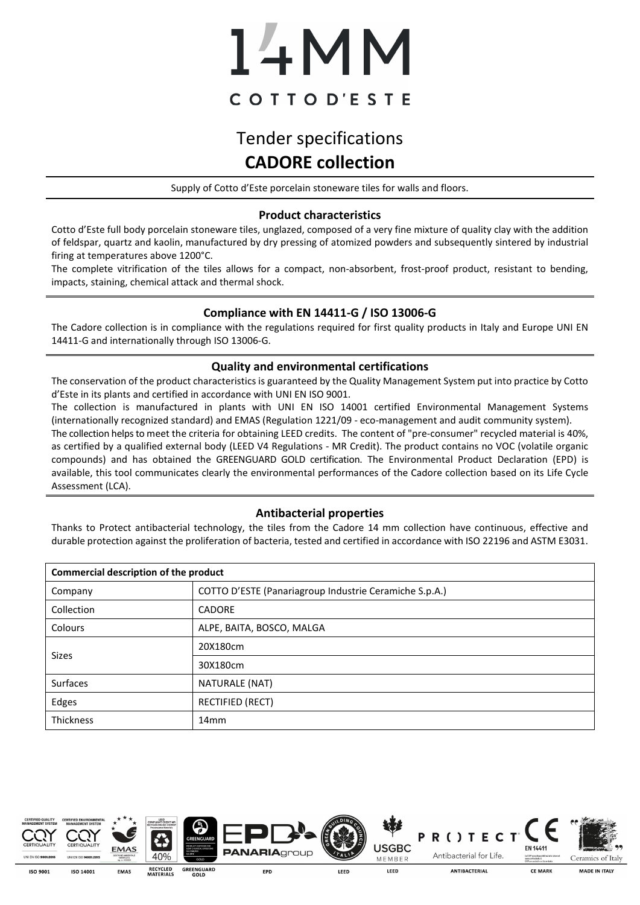# 14MM COTTOD'ESTE

## Tender specifications **CADORE collection**

Supply of Cotto d'Este porcelain stoneware tiles for walls and floors.

### **Product characteristics**

Cotto d'Este full body porcelain stoneware tiles, unglazed, composed of a very fine mixture of quality clay with the addition of feldspar, quartz and kaolin, manufactured by dry pressing of atomized powders and subsequently sintered by industrial firing at temperatures above 1200°C.

The complete vitrification of the tiles allows for a compact, non-absorbent, frost-proof product, resistant to bending, impacts, staining, chemical attack and thermal shock.

### **Compliance with EN 14411-G / ISO 13006-G**

The Cadore collection is in compliance with the regulations required for first quality products in Italy and Europe UNI EN 14411-G and internationally through ISO 13006-G.

### **Quality and environmental certifications**

The conservation of the product characteristics is guaranteed by the Quality Management System put into practice by Cotto d'Este in its plants and certified in accordance with UNI EN ISO 9001.

The collection is manufactured in plants with UNI EN ISO 14001 certified Environmental Management Systems (internationally recognized standard) and EMAS (Regulation 1221/09 - eco-management and audit community system). The collection helps to meet the criteria for obtaining LEED credits. The content of "pre-consumer" recycled material is 40%, as certified by a qualified external body (LEED V4 Regulations - MR Credit). The product contains no VOC (volatile organic compounds) and has obtained the GREENGUARD GOLD certification. The Environmental Product Declaration (EPD) is available, this tool communicates clearly the environmental performances of the Cadore collection based on its Life Cycle Assessment (LCA).

### **Antibacterial properties**

Thanks to Protect antibacterial technology, the tiles from the Cadore 14 mm collection have continuous, effective and durable protection against the proliferation of bacteria, tested and certified in accordance with ISO 22196 and ASTM E3031.

| Commercial description of the product |                                                        |  |  |  |
|---------------------------------------|--------------------------------------------------------|--|--|--|
| Company                               | COTTO D'ESTE (Panariagroup Industrie Ceramiche S.p.A.) |  |  |  |
| Collection                            | <b>CADORE</b>                                          |  |  |  |
| Colours                               | ALPE, BAITA, BOSCO, MALGA                              |  |  |  |
| Sizes                                 | 20X180cm                                               |  |  |  |
|                                       | 30X180cm                                               |  |  |  |
| Surfaces                              | NATURALE (NAT)                                         |  |  |  |
| Edges                                 | RECTIFIED (RECT)                                       |  |  |  |
| Thickness                             | 14mm                                                   |  |  |  |